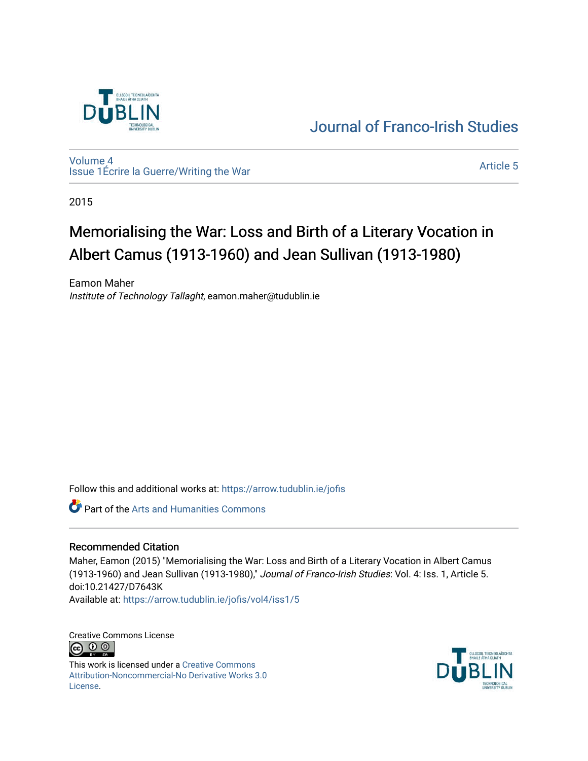

# [Journal of Franco-Irish Studies](https://arrow.tudublin.ie/jofis)

[Volume 4](https://arrow.tudublin.ie/jofis/vol4) [Issue 1](https://arrow.tudublin.ie/jofis/vol4/iss1)Écrire la Guerre/Writing the War Article 5<br>Issue 1Écrire la Guerre/Writing the War

2015

# Memorialising the War: Loss and Birth of a Literary Vocation in Albert Camus (1913-1960) and Jean Sullivan (1913-1980)

Eamon Maher Institute of Technology Tallaght, eamon.maher@tudublin.ie

Follow this and additional works at: [https://arrow.tudublin.ie/jofis](https://arrow.tudublin.ie/jofis?utm_source=arrow.tudublin.ie%2Fjofis%2Fvol4%2Fiss1%2F5&utm_medium=PDF&utm_campaign=PDFCoverPages) 

**C** Part of the Arts and Humanities Commons

#### Recommended Citation

Maher, Eamon (2015) "Memorialising the War: Loss and Birth of a Literary Vocation in Albert Camus (1913-1960) and Jean Sullivan (1913-1980)," Journal of Franco-Irish Studies: Vol. 4: Iss. 1, Article 5. doi:10.21427/D7643K Available at: [https://arrow.tudublin.ie/jofis/vol4/iss1/5](https://arrow.tudublin.ie/jofis/vol4/iss1/5?utm_source=arrow.tudublin.ie%2Fjofis%2Fvol4%2Fiss1%2F5&utm_medium=PDF&utm_campaign=PDFCoverPages) 

Creative Commons License **©** 0 ©

This work is licensed under a [Creative Commons](https://creativecommons.org/licenses/by-nc-nd/3.0/) [Attribution-Noncommercial-No Derivative Works 3.0](https://creativecommons.org/licenses/by-nc-nd/3.0/) [License.](https://creativecommons.org/licenses/by-nc-nd/3.0/)

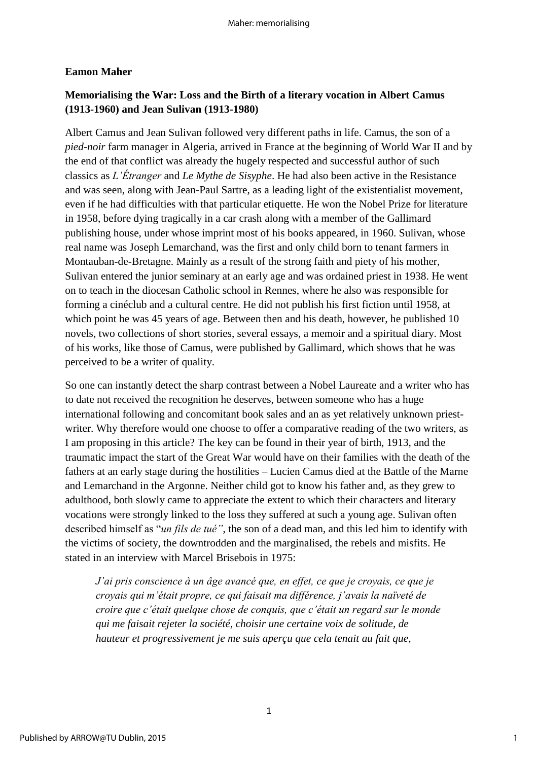#### **Eamon Maher**

### **Memorialising the War: Loss and the Birth of a literary vocation in Albert Camus (1913-1960) and Jean Sulivan (1913-1980)**

Albert Camus and Jean Sulivan followed very different paths in life. Camus, the son of a *pied-noir* farm manager in Algeria, arrived in France at the beginning of World War II and by the end of that conflict was already the hugely respected and successful author of such classics as *L'Étranger* and *Le Mythe de Sisyphe*. He had also been active in the Resistance and was seen, along with Jean-Paul Sartre, as a leading light of the existentialist movement, even if he had difficulties with that particular etiquette. He won the Nobel Prize for literature in 1958, before dying tragically in a car crash along with a member of the Gallimard publishing house, under whose imprint most of his books appeared, in 1960. Sulivan, whose real name was Joseph Lemarchand, was the first and only child born to tenant farmers in Montauban-de-Bretagne. Mainly as a result of the strong faith and piety of his mother, Sulivan entered the junior seminary at an early age and was ordained priest in 1938. He went on to teach in the diocesan Catholic school in Rennes, where he also was responsible for forming a cinéclub and a cultural centre. He did not publish his first fiction until 1958, at which point he was 45 years of age. Between then and his death, however, he published 10 novels, two collections of short stories, several essays, a memoir and a spiritual diary. Most of his works, like those of Camus, were published by Gallimard, which shows that he was perceived to be a writer of quality.

So one can instantly detect the sharp contrast between a Nobel Laureate and a writer who has to date not received the recognition he deserves, between someone who has a huge international following and concomitant book sales and an as yet relatively unknown priestwriter. Why therefore would one choose to offer a comparative reading of the two writers, as I am proposing in this article? The key can be found in their year of birth, 1913, and the traumatic impact the start of the Great War would have on their families with the death of the fathers at an early stage during the hostilities – Lucien Camus died at the Battle of the Marne and Lemarchand in the Argonne. Neither child got to know his father and, as they grew to adulthood, both slowly came to appreciate the extent to which their characters and literary vocations were strongly linked to the loss they suffered at such a young age. Sulivan often described himself as "*un fils de tué"*, the son of a dead man, and this led him to identify with the victims of society, the downtrodden and the marginalised, the rebels and misfits. He stated in an interview with Marcel Brisebois in 1975:

*J'ai pris conscience à un âge avancé que, en effet, ce que je croyais, ce que je croyais qui m'était propre, ce qui faisait ma différence, j'avais la naïveté de croire que c'était quelque chose de conquis, que c'était un regard sur le monde qui me faisait rejeter la société, choisir une certaine voix de solitude, de hauteur et progressivement je me suis aperçu que cela tenait au fait que,*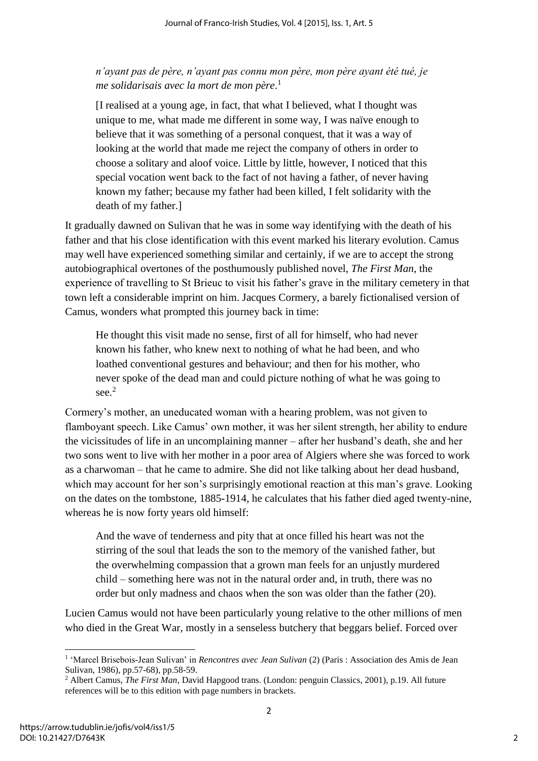*n'ayant pas de père, n'ayant pas connu mon père, mon père ayant été tué, je me solidarisais avec la mort de mon père*. 1

[I realised at a young age, in fact, that what I believed, what I thought was unique to me, what made me different in some way, I was naïve enough to believe that it was something of a personal conquest, that it was a way of looking at the world that made me reject the company of others in order to choose a solitary and aloof voice. Little by little, however, I noticed that this special vocation went back to the fact of not having a father, of never having known my father; because my father had been killed, I felt solidarity with the death of my father.]

It gradually dawned on Sulivan that he was in some way identifying with the death of his father and that his close identification with this event marked his literary evolution. Camus may well have experienced something similar and certainly, if we are to accept the strong autobiographical overtones of the posthumously published novel, *The First Man*, the experience of travelling to St Brieuc to visit his father's grave in the military cemetery in that town left a considerable imprint on him. Jacques Cormery, a barely fictionalised version of Camus, wonders what prompted this journey back in time:

He thought this visit made no sense, first of all for himself, who had never known his father, who knew next to nothing of what he had been, and who loathed conventional gestures and behaviour; and then for his mother, who never spoke of the dead man and could picture nothing of what he was going to see. $2$ 

Cormery's mother, an uneducated woman with a hearing problem, was not given to flamboyant speech. Like Camus' own mother, it was her silent strength, her ability to endure the vicissitudes of life in an uncomplaining manner – after her husband's death, she and her two sons went to live with her mother in a poor area of Algiers where she was forced to work as a charwoman – that he came to admire. She did not like talking about her dead husband, which may account for her son's surprisingly emotional reaction at this man's grave. Looking on the dates on the tombstone, 1885-1914, he calculates that his father died aged twenty-nine, whereas he is now forty years old himself:

And the wave of tenderness and pity that at once filled his heart was not the stirring of the soul that leads the son to the memory of the vanished father, but the overwhelming compassion that a grown man feels for an unjustly murdered child – something here was not in the natural order and, in truth, there was no order but only madness and chaos when the son was older than the father (20).

Lucien Camus would not have been particularly young relative to the other millions of men who died in the Great War, mostly in a senseless butchery that beggars belief. Forced over

**.** 

<sup>&</sup>lt;sup>1</sup> 'Marcel Brisebois-Jean Sulivan' in *Rencontres avec Jean Sulivan* (2) (Paris : Association des Amis de Jean Sulivan, 1986), pp.57-68), pp.58-59.

<sup>&</sup>lt;sup>2</sup> Albert Camus, *The First Man*, David Hapgood trans. (London: penguin Classics, 2001), p.19. All future references will be to this edition with page numbers in brackets.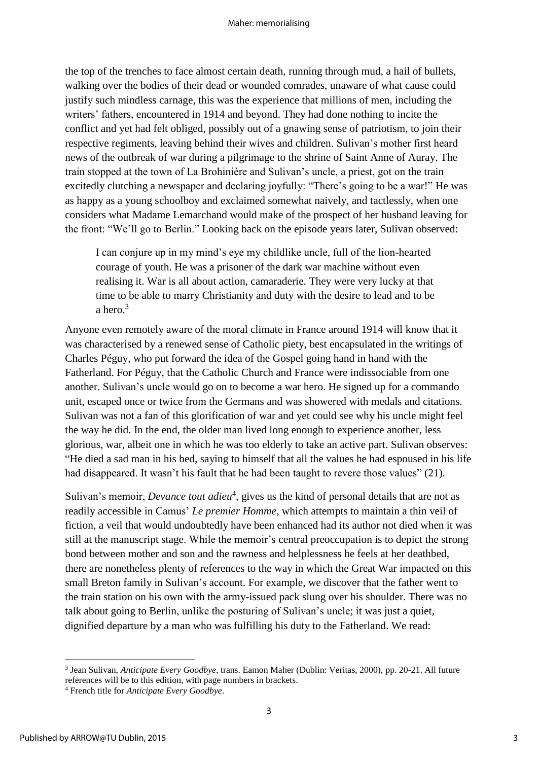the top of the trenches to face almost certain death, running through mud, a hail of bullets, walking over the bodies of their dead or wounded comrades, unaware of what cause could justify such mindless carnage, this was the experience that millions of men, including the writers' fathers, encountered in 1914 and beyond. They had done nothing to incite the conflict and yet had felt obliged, possibly out of a gnawing sense of patriotism, to join their respective regiments, leaving behind their wives and children. Sulivan's mother first heard news of the outbreak of war during a pilgrimage to the shrine of Saint Anne of Auray. The train stopped at the town of La Brohinière and Sulivan's uncle, a priest, got on the train excitedly clutching a newspaper and declaring joyfully: "There's going to be a war!" He was as happy as a young schoolboy and exclaimed somewhat naively, and tactlessly, when one considers what Madame Lemarchand would make of the prospect of her husband leaving for the front: "We'll go to Berlin." Looking back on the episode years later, Sulivan observed:

I can conjure up in my mind's eye my childlike uncle, full of the lion-hearted courage of youth. He was a prisoner of the dark war machine without even realising it. War is all about action, camaraderie. They were very lucky at that time to be able to marry Christianity and duty with the desire to lead and to be a hero. $3$ 

Anyone even remotely aware of the moral climate in France around 1914 will know that it was characterised by a renewed sense of Catholic piety, best encapsulated in the writings of Charles Péguy, who put forward the idea of the Gospel going hand in hand with the Fatherland. For Péguy, that the Catholic Church and France were indissociable from one another. Sulivan's uncle would go on to become a war hero. He signed up for a commando unit, escaped once or twice from the Germans and was showered with medals and citations. Sulivan was not a fan of this glorification of war and yet could see why his uncle might feel the way he did. In the end, the older man lived long enough to experience another, less glorious, war, albeit one in which he was too elderly to take an active part. Sulivan observes: "He died a sad man in his bed, saying to himself that all the values he had espoused in his life had disappeared. It wasn't his fault that he had been taught to revere those values" (21).

Sulivan's memoir, *Devance tout adieu*<sup>4</sup>, gives us the kind of personal details that are not as readily accessible in Camus' *Le premier Homme*, which attempts to maintain a thin veil of fiction, a veil that would undoubtedly have been enhanced had its author not died when it was still at the manuscript stage. While the memoir's central preoccupation is to depict the strong bond between mother and son and the rawness and helplessness he feels at her deathbed, there are nonetheless plenty of references to the way in which the Great War impacted on this small Breton family in Sulivan's account. For example, we discover that the father went to the train station on his own with the army-issued pack slung over his shoulder. There was no talk about going to Berlin, unlike the posturing of Sulivan's uncle; it was just a quiet, dignified departure by a man who was fulfilling his duty to the Fatherland. We read:

 3 Jean Sulivan, *Anticipate Every Goodbye*, trans. Eamon Maher (Dublin: Veritas, 2000), pp. 20-21. All future references will be to this edition, with page numbers in brackets.

<sup>4</sup> French title for *Anticipate Every Goodbye*.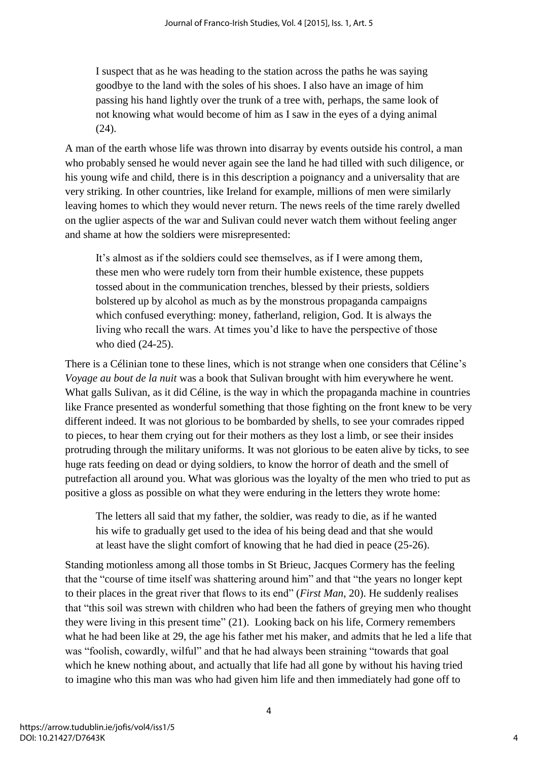I suspect that as he was heading to the station across the paths he was saying goodbye to the land with the soles of his shoes. I also have an image of him passing his hand lightly over the trunk of a tree with, perhaps, the same look of not knowing what would become of him as I saw in the eyes of a dying animal (24).

A man of the earth whose life was thrown into disarray by events outside his control, a man who probably sensed he would never again see the land he had tilled with such diligence, or his young wife and child, there is in this description a poignancy and a universality that are very striking. In other countries, like Ireland for example, millions of men were similarly leaving homes to which they would never return. The news reels of the time rarely dwelled on the uglier aspects of the war and Sulivan could never watch them without feeling anger and shame at how the soldiers were misrepresented:

It's almost as if the soldiers could see themselves, as if I were among them, these men who were rudely torn from their humble existence, these puppets tossed about in the communication trenches, blessed by their priests, soldiers bolstered up by alcohol as much as by the monstrous propaganda campaigns which confused everything: money, fatherland, religion, God. It is always the living who recall the wars. At times you'd like to have the perspective of those who died (24-25).

There is a Célinian tone to these lines, which is not strange when one considers that Céline's *Voyage au bout de la nuit* was a book that Sulivan brought with him everywhere he went. What galls Sulivan, as it did Céline, is the way in which the propaganda machine in countries like France presented as wonderful something that those fighting on the front knew to be very different indeed. It was not glorious to be bombarded by shells, to see your comrades ripped to pieces, to hear them crying out for their mothers as they lost a limb, or see their insides protruding through the military uniforms. It was not glorious to be eaten alive by ticks, to see huge rats feeding on dead or dying soldiers, to know the horror of death and the smell of putrefaction all around you. What was glorious was the loyalty of the men who tried to put as positive a gloss as possible on what they were enduring in the letters they wrote home:

The letters all said that my father, the soldier, was ready to die, as if he wanted his wife to gradually get used to the idea of his being dead and that she would at least have the slight comfort of knowing that he had died in peace (25-26).

Standing motionless among all those tombs in St Brieuc, Jacques Cormery has the feeling that the "course of time itself was shattering around him" and that "the years no longer kept to their places in the great river that flows to its end" (*First Man*, 20). He suddenly realises that "this soil was strewn with children who had been the fathers of greying men who thought they were living in this present time" (21). Looking back on his life, Cormery remembers what he had been like at 29, the age his father met his maker, and admits that he led a life that was "foolish, cowardly, wilful" and that he had always been straining "towards that goal which he knew nothing about, and actually that life had all gone by without his having tried to imagine who this man was who had given him life and then immediately had gone off to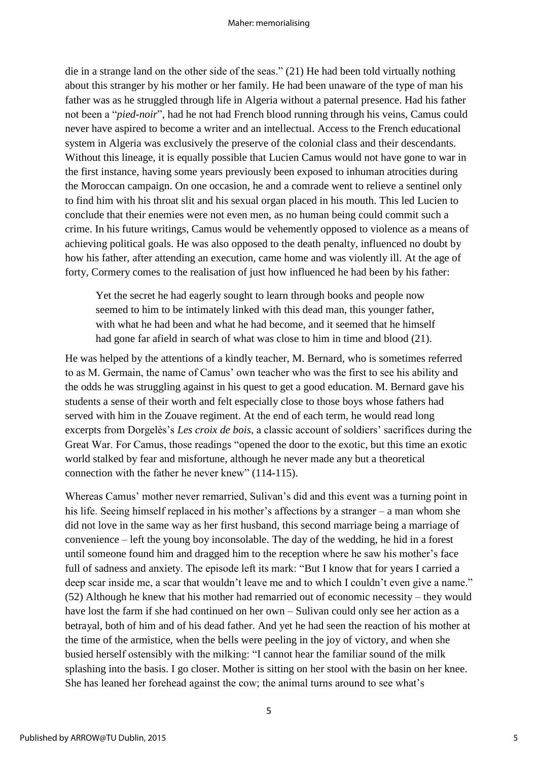die in a strange land on the other side of the seas." (21) He had been told virtually nothing about this stranger by his mother or her family. He had been unaware of the type of man his father was as he struggled through life in Algeria without a paternal presence. Had his father not been a "*pied-noir*", had he not had French blood running through his veins, Camus could never have aspired to become a writer and an intellectual. Access to the French educational system in Algeria was exclusively the preserve of the colonial class and their descendants. Without this lineage, it is equally possible that Lucien Camus would not have gone to war in the first instance, having some years previously been exposed to inhuman atrocities during the Moroccan campaign. On one occasion, he and a comrade went to relieve a sentinel only to find him with his throat slit and his sexual organ placed in his mouth. This led Lucien to conclude that their enemies were not even men, as no human being could commit such a crime. In his future writings, Camus would be vehemently opposed to violence as a means of achieving political goals. He was also opposed to the death penalty, influenced no doubt by how his father, after attending an execution, came home and was violently ill. At the age of forty, Cormery comes to the realisation of just how influenced he had been by his father:

Yet the secret he had eagerly sought to learn through books and people now seemed to him to be intimately linked with this dead man, this younger father, with what he had been and what he had become, and it seemed that he himself had gone far afield in search of what was close to him in time and blood (21).

He was helped by the attentions of a kindly teacher, M. Bernard, who is sometimes referred to as M. Germain, the name of Camus' own teacher who was the first to see his ability and the odds he was struggling against in his quest to get a good education. M. Bernard gave his students a sense of their worth and felt especially close to those boys whose fathers had served with him in the Zouave regiment. At the end of each term, he would read long excerpts from Dorgelès's *Les croix de bois*, a classic account of soldiers' sacrifices during the Great War. For Camus, those readings "opened the door to the exotic, but this time an exotic world stalked by fear and misfortune, although he never made any but a theoretical connection with the father he never knew" (114-115).

Whereas Camus' mother never remarried, Sulivan's did and this event was a turning point in his life. Seeing himself replaced in his mother's affections by a stranger – a man whom she did not love in the same way as her first husband, this second marriage being a marriage of convenience – left the young boy inconsolable. The day of the wedding, he hid in a forest until someone found him and dragged him to the reception where he saw his mother's face full of sadness and anxiety. The episode left its mark: "But I know that for years I carried a deep scar inside me, a scar that wouldn't leave me and to which I couldn't even give a name." (52) Although he knew that his mother had remarried out of economic necessity – they would have lost the farm if she had continued on her own – Sulivan could only see her action as a betrayal, both of him and of his dead father. And yet he had seen the reaction of his mother at the time of the armistice, when the bells were peeling in the joy of victory, and when she busied herself ostensibly with the milking: "I cannot hear the familiar sound of the milk splashing into the basis. I go closer. Mother is sitting on her stool with the basin on her knee. She has leaned her forehead against the cow; the animal turns around to see what's